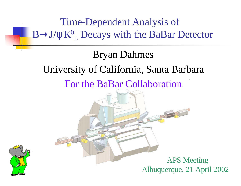Time-Dependent Analysis of  $B \rightarrow J/\psi K^0_L$  Decays with the BaBar Detector Bryan Dahmes University of California, Santa Barbara For the BaBar Collaboration APS Meeting Albuquerque, 21 April 2002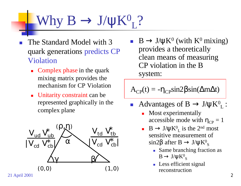#### Why  $B \to J/\psi K^0$ L ?

- The Standard Model with 3 quark generations predicts CP Violation
	- $\blacksquare$  Complex phase in the quark mixing matrix provides the mechanism for CP Violation
	- **n** Unitarity constraint can be represented graphically in the complex plane



 $\blacksquare$  B  $\rightarrow$  J/ $\psi$ K<sup>0</sup> (with K<sup>0</sup> mixing) provides a theoretically clean means of measuring CP violation in the B system:

 $A_{CP}(t) = -\eta_{CP} \sin 2\beta \sin(\Delta m \Delta t)$ 

- Advantages of  $B \to J/\psi K^0_L$ :
	- Most experimentally accessible mode with  $\eta_{CP} = 1$
	- $\blacksquare$  B  $\rightarrow$  J/ $\psi$ K<sup>0</sup><sub>L</sub> is the 2<sup>nd</sup> most sensitive measurement of sin2 $\beta$  after  $B \to J/\psi K^0$ <sub>S</sub>
		- Same branching fraction as  $B \to J/\psi K^0{}_S$
		- **Less efficient signal** reconstruction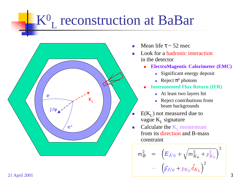### $\mathbf{K}^0$ L reconstruction at BaBar



- Mean life  $\tau \sim 52$  nsec
- **n** Look for a hadronic interaction in the detector
	- <sup>n</sup> **ElectroMagentic Calorimeter (EMC)** 
		- **n** Significant energy deposit
		- Reject  $\pi^0$  photons
	- **Instrumented Flux Return (IFR)** 
		- n At least two layers hit
		- **n** Reject contributions from beam backgrounds
- $E(K_L)$  not measured due to vague K<sub>L</sub> signature
- Calculate the  $K_L$  momentum from its direction and B-mass constraint

$$
m_B^2 = (E_{J/\psi} + \sqrt{m_{K_L}^2 + p_{K_L}^2})^2 - (\vec{p}_{J/\psi} + p_{K_L} \vec{d}_{K_L})^2
$$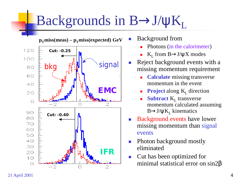## Backgrounds in  $B\rightarrow J/\psi K_L$



- Background from
	- Photons (in the calorimeter)
	- K<sub>L</sub> from B $\rightarrow$ J/ψX modes
- Reject background events with a missing momentum requirement
	- **Calculate** missing transverse momentum in the event
	- **Project** along K<sub>L</sub> direction
	- **Subtract** K<sub>L</sub> transverse momentum calculated assuming  $B\rightarrow J/\psi K_L$  kinematics
- Background events have lower missing momentum than signal events
- Photon background mostly eliminated
- **n** Cut has been optimized for minimal statistical error on sin2β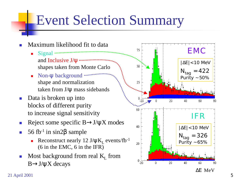## Event Selection Summary

- Maximum likelihood fit to data Signal and Inclusive J/ψ shapes taken from Monte Carlo
	- Non-ψ background shape and normalization taken from J/ψ mass sidebands
- Data is broken up into blocks of different purity to increase signal sensitivity
- Reject some specific  $B\rightarrow J/\psi X$  modes
- 56 fb<sup>-1</sup> in sin2 $β$  sample
	- Reconstruct nearly 12  $J/\psi K_L$  events/fb<sup>-1</sup> (6 in the EMC, 6 in the IFR)
- Most background from real  $K_L$  from  $B \rightarrow J/\psi X$  decays

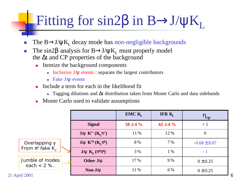# Fitting for sin2β in  $B\rightarrow J/\psi K_L$

- n The  $B\rightarrow J/\psi K_L$  decay mode has non-negligible backgrounds
- n The sin2 $\beta$  analysis for B $\rightarrow$ J/ $\psi$ K<sub>L</sub> must properly model the  $\Delta t$  and CP properties of the background
	- **n** Itemize the background components
		- n Inclusive J/ $\psi$  events : separate the largest contributors
		- **n** Fake  $J/\psi$  events
	- $\blacksquare$  Include a term for each in the likelihood fit
		- **Tagging dilutions and**  $\Delta t$  **distribution taken from Monte Carlo and data sidebands**
	- Monte Carlo used to validate assumptions

|                                                            |                            | EMC K <sub>r</sub> | IFR K         | $\mathbf{h}_{cp}$ |
|------------------------------------------------------------|----------------------------|--------------------|---------------|-------------------|
|                                                            | <b>Signal</b>              | $50 \pm 4 \%$      | $65 \pm 4 \%$ | $+1$              |
|                                                            | $J/y K^{*+} (K_{L} p^{+})$ | 11 %               | 12 %          | $\overline{0}$    |
| Overlapping $\gamma$<br>From $\pi^0$ fake K <sub>1</sub> . | $J/y K^{*0} (KL p0)$       | 8 %                | 7%            | $-0.68 \pm 0.07$  |
|                                                            | $J/y KS(p0p0)$             | 3%                 | $1\%$         | - 1               |
| Jumble of modes<br>each $<$ 2 %.<br>21 April 2001          | Other J/y                  | 17 %               | 9%            | $0 \pm 0.25$      |
|                                                            | Non- $J/y$                 | 11 %               | 6 %           | $0 \pm 0.25$      |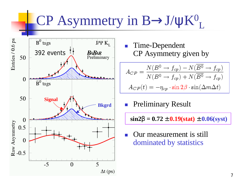### CP Asymmetry in B→J/ψK<sup>0</sup> L



Time-Dependent CP Asymmetry given by

$$
A_{CP} = \frac{N(B^0 \to f_{cp}) - N(\overline{B^0} \to f_{cp})}{N(B^0 \to f_{cp}) + N(\overline{B^0} \to f_{cp})}
$$

$$
A_{CP}(t) = -\eta_{cp} \cdot \sin 2\beta \cdot \sin(\Delta m \Delta t)
$$

**Preliminary Result** 

 $\sin 2\mathbf{b} = 0.72 \pm 0.19(\text{stat}) \pm 0.06(\text{syst})$ 

Our measurement is still dominated by statistics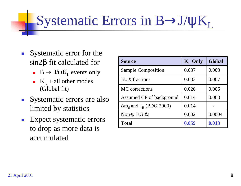# Systematic Errors in  $B\rightarrow J/\psi K_L$

- **n** Systematic error for the sin2β fit calculated for
	- $B \to J/\psi K_L$  events only
	- $K_L$  + all other modes (Global fit)
- Systematic errors are also limited by statistics
- **n** Expect systematic errors to drop as more data is accumulated

| <b>Source</b>                        | $K_{I}$ Only | Global |
|--------------------------------------|--------------|--------|
| <b>Sample Composition</b>            | 0.037        | 0.008  |
| $J/\psi X$ fractions                 | 0.033        | 0.007  |
| MC corrections                       | 0.026        | 0.006  |
| Assumed CP of background             | 0.014        | 0.003  |
| $\Delta m_d$ and $\tau_R$ (PDG 2000) | 0.014        |        |
| Non- $\Psi$ BG $\Delta t$            | 0.002        | 0.0004 |
| <b>Total</b>                         | 0.059        | 0.013  |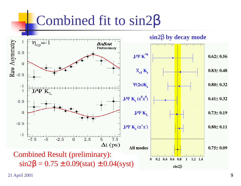### Combined fit to sin2β

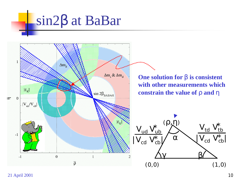# sin2β at BaBar



21 April 2001 **10**